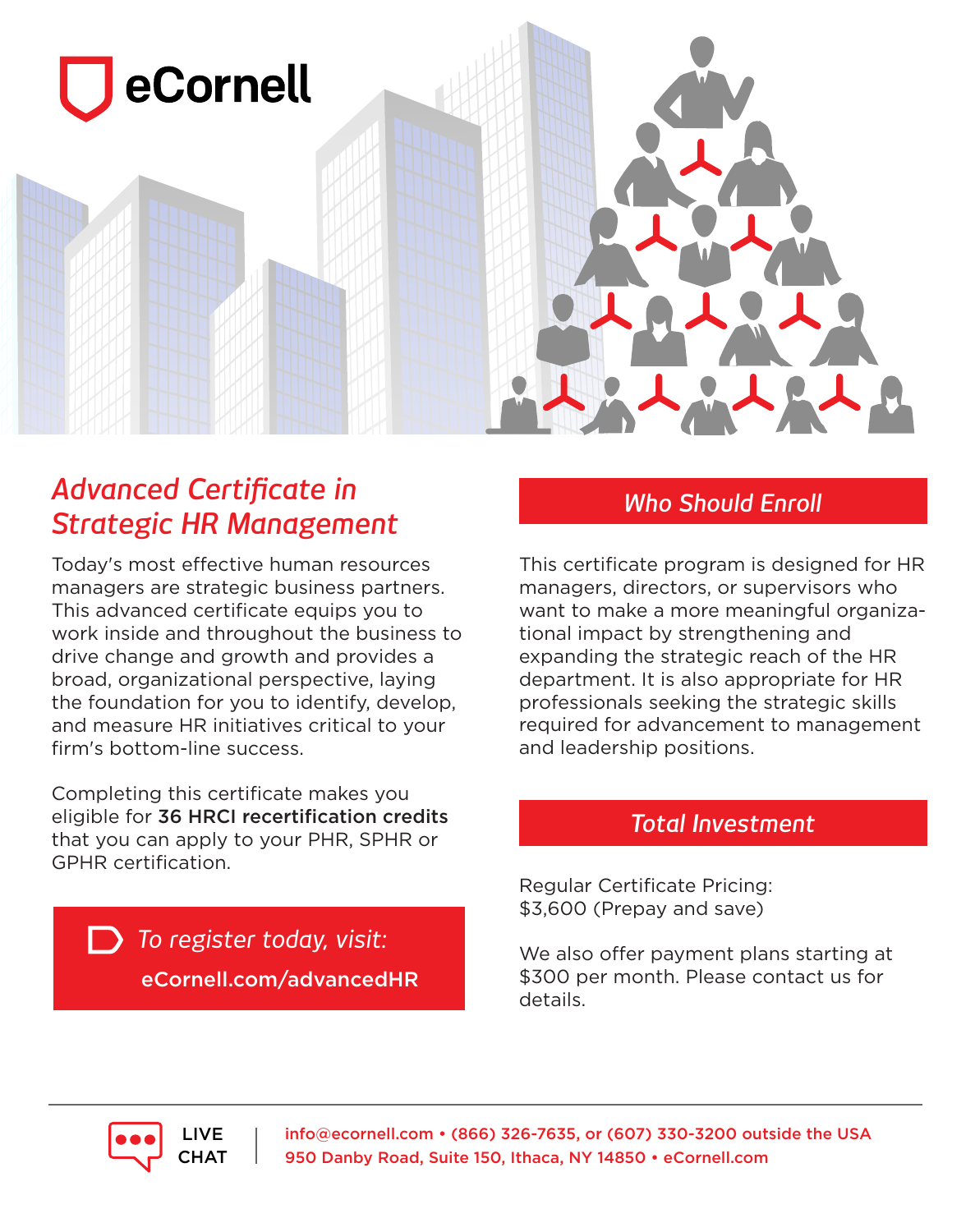

# *Advanced Certificate in Strategic HR Management*

Today's most effective human resources managers are strategic business partners. This advanced certificate equips you to work inside and throughout the business to drive change and growth and provides a broad, organizational perspective, laying the foundation for you to identify, develop, and measure HR initiatives critical to your firm's bottom-line success.

Completing this certificate makes you eligible for 36 HRCI recertification credits that you can apply to your PHR, SPHR or GPHR certification.

> *To register today, visit:*  [eCornell.com/advancedHR](http://www.ecornell.com/advancedHR)

# *Who Should Enroll*

This certificate program is designed for HR managers, directors, or supervisors who want to make a more meaningful organizational impact by strengthening and expanding the strategic reach of the HR department. It is also appropriate for HR professionals seeking the strategic skills required for advancement to management and leadership positions.

# *Total Investment*

Regular Certificate Pricing: \$3,600 (Prepay and save)

We also offer payment plans starting at \$300 per month. Please contact us for details.



[info@ecornell.com](mailto:info@ecornell.com) • (866) 326-7635, or (607) 330-3200 outside the USA 950 Danby Road, Suite 150, Ithaca, NY 14850 • [eCornell.com](http://www.ecornell.com)